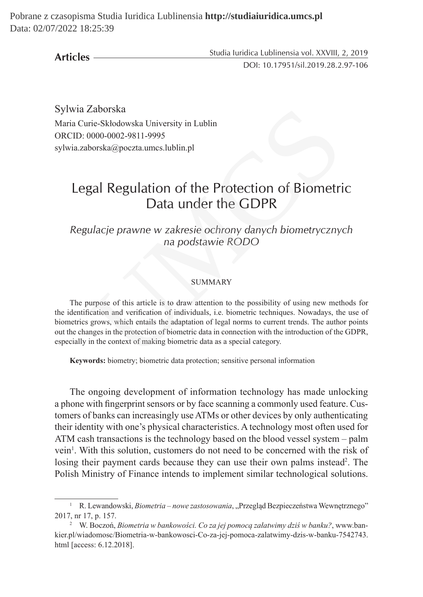Pobrane z czasopisma Studia Iuridica Lublinensia **http://studiaiuridica.umcs.pl** Data: 02/07/2022 18:25:39

**Articles**

Studia Iuridica Lublinensia vol. XXVIII, 2, 2019 DOI: 10.17951/sil.2019.28.2.97-106

Sylwia Zaborska Maria Curie-Skłodowska University in Lublin ORCID: 0000-0002-9811-9995 sylwia.zaborska@poczta.umcs.lublin.pl

# Legal Regulation of the Protection of Biometric Data under the GDPR

*Regulacje prawne w zakresie ochrony danych biometrycznych na podstawie RODO*

#### SUMMARY

The purpose of this article is to draw attention to the possibility of using new methods for the identification and verification of individuals, i.e. biometric techniques. Nowadays, the use of biometrics grows, which entails the adaptation of legal norms to current trends. The author points out the changes in the protection of biometric data in connection with the introduction of the GDPR, especially in the context of making biometric data as a special category. Zaborska<br>
rie-Skłodowska University in Lublin<br>
0000-0002-9811-9995<br>
borska@poczta.umcs.lublin.pl<br>
gal Regulation of the Protection of Biometri<br>
Data under the GDPR<br>
ulacje prawne w zakresie ochrony danych biometryczny<br>
na

**Keywords:** biometry; biometric data protection; sensitive personal information

The ongoing development of information technology has made unlocking a phone with fingerprint sensors or by face scanning a commonly used feature. Customers of banks can increasingly use ATMs or other devices by only authenticating their identity with one's physical characteristics. A technology most often used for ATM cash transactions is the technology based on the blood vessel system – palm vein<sup>1</sup>. With this solution, customers do not need to be concerned with the risk of losing their payment cards because they can use their own palms instead<sup>2</sup>. The Polish Ministry of Finance intends to implement similar technological solutions.

<sup>&</sup>lt;sup>1</sup> R. Lewandowski, *Biometria – nowe zastosowania*, "Przegląd Bezpieczeństwa Wewnętrznego" 2017, nr 17, p. 157.

<sup>2</sup> W. Boczoń, *Biometria w bankowości. Co za jej pomocą załatwimy dziś w banku?*, www.bankier.pl/wiadomosc/Biometria-w-bankowosci-Co-za-jej-pomoca-zalatwimy-dzis-w-banku-7542743. html [access: 6.12.2018].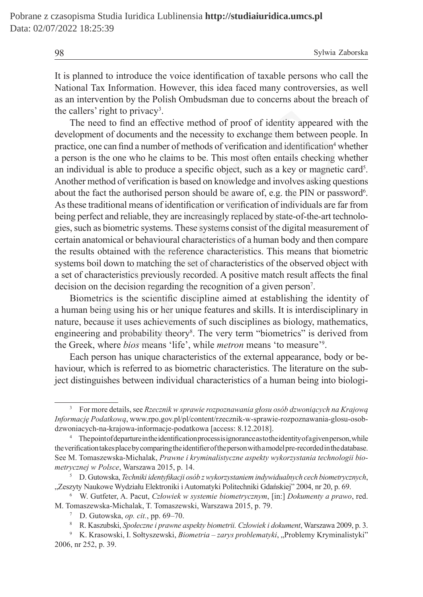98 Sylwia Zaborska

It is planned to introduce the voice identification of taxable persons who call the National Tax Information. However, this idea faced many controversies, as well as an intervention by the Polish Ombudsman due to concerns about the breach of the callers' right to privacy<sup>3</sup>.

The need to find an effective method of proof of identity appeared with the development of documents and the necessity to exchange them between people. In practice, one can find a number of methods of verification and identification<sup>4</sup> whether a person is the one who he claims to be. This most often entails checking whether an individual is able to produce a specific object, such as a key or magnetic card<sup>5</sup>. Another method of verification is based on knowledge and involves asking questions about the fact the authorised person should be aware of, e.g. the PIN or password<sup>6</sup>. As these traditional means of identification or verification of individuals are far from being perfect and reliable, they are increasingly replaced by state-of-the-art technologies, such as biometric systems. These systems consist of the digital measurement of certain anatomical or behavioural characteristics of a human body and then compare the results obtained with the reference characteristics. This means that biometric systems boil down to matching the set of characteristics of the observed object with a set of characteristics previously recorded. A positive match result affects the final decision on the decision regarding the recognition of a given person<sup>7</sup>. rs' right to privacy<sup>3</sup>.<br>need to find an effective method of proof of identity appeared went of documents and the necessity to exchange them between pectors one an find a number of methods of verification and identificatio

Biometrics is the scientific discipline aimed at establishing the identity of a human being using his or her unique features and skills. It is interdisciplinary in nature, because it uses achievements of such disciplines as biology, mathematics, engineering and probability theory<sup>8</sup>. The very term "biometrics" is derived from the Greek, where *bios* means 'life', while *metron* means 'to measure'<sup>9</sup> .

Each person has unique characteristics of the external appearance, body or behaviour, which is referred to as biometric characteristics. The literature on the subject distinguishes between individual characteristics of a human being into biologi-

<sup>3</sup> For more details, see *Rzecznik w sprawie rozpoznawania głosu osób dzwoniących na Krajową Informację Podatkową*, www.rpo.gov.pl/pl/content/rzecznik-w-sprawie-rozpoznawania-glosu-osobdzwoniacych-na-krajowa-informacje-podatkowa [access: 8.12.2018].

<sup>4</sup> The point of departure in the identification process is ignorance as to the identity of agiven person, while the verification takes place by comparing the identifier of the person with amodel pre-recorded in the database. See M. Tomaszewska-Michalak, *Prawne i kryminalistyczne aspekty wykorzystania technologii biometrycznej w Polsce*, Warszawa 2015, p. 14.

<sup>5</sup> D. Gutowska, *Techniki identyfikacji osób zwykorzystaniem indywidualnych cech biometrycznych*, "Zeszyty Naukowe Wydziału Elektroniki i Automatyki Politechniki Gdańskiej" 2004, nr 20, p. 69.

<sup>6</sup> W. Gutfeter, A. Pacut, *Człowiek w systemie biometrycznym*, [in:] *Dokumenty a prawo*, red. M. Tomaszewska-Michalak, T. Tomaszewski, Warszawa 2015, p. 79.

<sup>7</sup> D. Gutowska, *op. cit.*, pp. 69–70.

<sup>8</sup> R. Kaszubski, *Społeczne i prawne aspekty biometrii. Człowiek i dokument*, Warszawa 2009, p. 3.

<sup>&</sup>lt;sup>9</sup> K. Krasowski, I. Sołtyszewski, *Biometria – zarys problematyki*, "Problemy Kryminalistyki" 2006, nr 252, p. 39.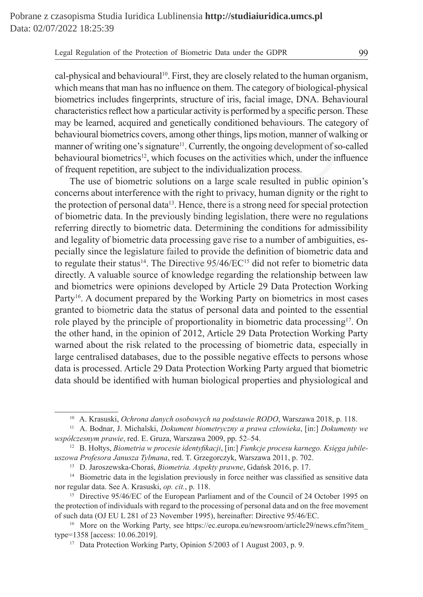cal-physical and behavioural<sup>10</sup>. First, they are closely related to the human organism, which means that man has no influence on them. The category of biological-physical biometrics includes fingerprints, structure of iris, facial image, DNA. Behavioural characteristics reflect how a particular activity is performed by a specific person. These may be learned, acquired and genetically conditioned behaviours. The category of behavioural biometrics covers, among other things, lips motion, manner of walking or manner of writing one's signature<sup>11</sup>. Currently, the ongoing development of so-called behavioural biometrics<sup>12</sup>, which focuses on the activities which, under the influence of frequent repetition, are subject to the individualization process.

The use of biometric solutions on a large scale resulted in public opinion's concerns about interference with the right to privacy, human dignity or the right to the protection of personal data<sup>13</sup>. Hence, there is a strong need for special protection of biometric data. In the previously binding legislation, there were no regulations referring directly to biometric data. Determining the conditions for admissibility and legality of biometric data processing gave rise to a number of ambiguities, especially since the legislature failed to provide the definition of biometric data and to regulate their status<sup>14</sup>. The Directive  $95/46/EC^{15}$  did not refer to biometric data directly. A valuable source of knowledge regarding the relationship between law and biometrics were opinions developed by Article 29 Data Protection Working Party<sup>16</sup>. A document prepared by the Working Party on biometrics in most cases granted to biometric data the status of personal data and pointed to the essential role played by the principle of proportionality in biometric data processing<sup>17</sup>. On the other hand, in the opinion of 2012, Article 29 Data Protection Working Party warned about the risk related to the processing of biometric data, especially in large centralised databases, due to the possible negative effects to persons whose data is processed. Article 29 Data Protection Working Party argued that biometric data should be identified with human biological properties and physiological and istics reflect how a particular activity is performed by a specific person earned, acquired and genetically conditioned behaviours. The categral biometrics covers, among other things, lips motion, manner of wall of writing

<sup>10</sup> A. Krasuski, *Ochrona danych osobowych na podstawie RODO*, Warszawa 2018, p. 118.

<sup>11</sup> A. Bodnar, J. Michalski, *Dokument biometryczny a prawa człowieka*, [in:] *Dokumenty we współczesnym prawie*, red. E. Gruza, Warszawa 2009, pp. 52–54.

<sup>12</sup> B. Hołtys, *Biometria w procesie identyfikacji*, [in:] *Funkcje procesu karnego. Księga jubileuszowa Profesora Janusza Tylmana*, red. T. Grzegorczyk, Warszawa 2011, p. 702.

<sup>13</sup> D. Jaroszewska-Choraś, *Biometria. Aspekty prawne*, Gdańsk 2016, p. 17.

<sup>&</sup>lt;sup>14</sup> Biometric data in the legislation previously in force neither was classified as sensitive data nor regular data. See A. Krasuski, *op. cit.*, p. 118.

<sup>&</sup>lt;sup>15</sup> Directive 95/46/EC of the European Parliament and of the Council of 24 October 1995 on the protection of individuals with regard to the processing of personal data and on the free movement of such data (OJ EU L 281 of 23 November 1995), hereinafter: Directive 95/46/EC.

<sup>&</sup>lt;sup>16</sup> More on the Working Party, see https://ec.europa.eu/newsroom/article29/news.cfm?item type=1358 [access: 10.06.2019].

<sup>&</sup>lt;sup>17</sup> Data Protection Working Party, Opinion 5/2003 of 1 August 2003, p. 9.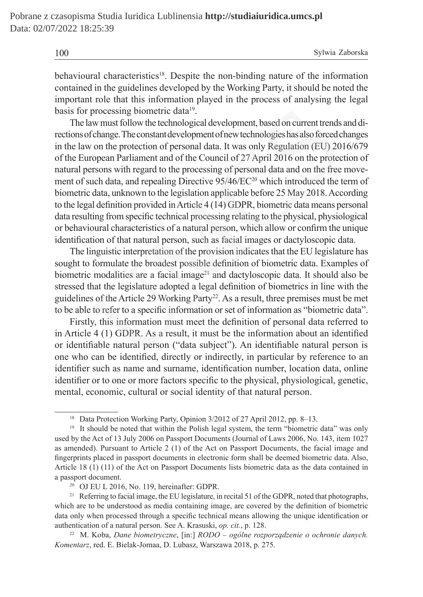100 Sylwia Zaborska

behavioural characteristics<sup>18</sup>. Despite the non-binding nature of the information contained in the guidelines developed by the Working Party, it should be noted the important role that this information played in the process of analysing the legal basis for processing biometric data<sup>19</sup>.

The law must follow the technological development, based on current trends and directions of change. The constant development of new technologies has also forced changes in the law on the protection of personal data. It was only Regulation (EU) 2016/679 of the European Parliament and of the Council of 27 April 2016 on the protection of natural persons with regard to the processing of personal data and on the free movement of such data, and repealing Directive 95/46/EC<sup>20</sup> which introduced the term of biometric data, unknown to the legislation applicable before 25 May 2018. According to the legal definition provided in Article 4 (14) GDPR, biometric data means personal data resulting from specific technical processing relating to the physical, physiological or behavioural characteristics of a natural person, which allow or confirm the unique identification of that natural person, such as facial images or dactyloscopic data. processing biometric data<sup>19</sup>.<br>aw must follow the technological development, based on current trends<br>of change. The constant development of new technologies has also forced cord<br>or on the protection of personal data. It w

The linguistic interpretation of the provision indicates that the EU legislature has sought to formulate the broadest possible definition of biometric data. Examples of biometric modalities are a facial image<sup>21</sup> and dactyloscopic data. It should also be stressed that the legislature adopted a legal definition of biometrics in line with the guidelines of the Article 29 Working Party<sup>22</sup>. As a result, three premises must be met to be able to refer to a specific information or set of information as "biometric data".

Firstly, this information must meet the definition of personal data referred to in Article 4 (1) GDPR. As a result, it must be the information about an identified or identifiable natural person ("data subject"). An identifiable natural person is one who can be identified, directly or indirectly, in particular by reference to an identifier such as name and surname, identification number, location data, online identifier or to one or more factors specific to the physical, physiological, genetic, mental, economic, cultural or social identity of that natural person.

<sup>&</sup>lt;sup>18</sup> Data Protection Working Party, Opinion 3/2012 of 27 April 2012, pp. 8–13.

<sup>&</sup>lt;sup>19</sup> It should be noted that within the Polish legal system, the term "biometric data" was only used by the Act of 13 July 2006 on Passport Documents (Journal of Laws 2006, No. 143, item 1027 as amended). Pursuant to Article 2 (1) of the Act on Passport Documents, the facial image and fingerprints placed in passport documents in electronic form shall be deemed biometric data. Also, Article 18 (1) (11) of the Act on Passport Documents lists biometric data as the data contained in a passport document.

<sup>20</sup> OJ EU L 2016, No. 119, hereinafter: GDPR.

<sup>&</sup>lt;sup>21</sup> Referring to facial image, the EU legislature, in recital 51 of the GDPR, noted that photographs, which are to be understood as media containing image, are covered by the definition of biometric data only when processed through a specific technical means allowing the unique identification or authentication of a natural person. See A. Krasuski, *op. cit.*, p. 128.

<sup>22</sup> M. Koba, *Dane biometryczne*, [in:] *RODO – ogólne rozporządzenie o ochronie danych. Komentarz*, red. E. Bielak-Jomaa, D. Lubasz, Warszawa 2018, p. 275.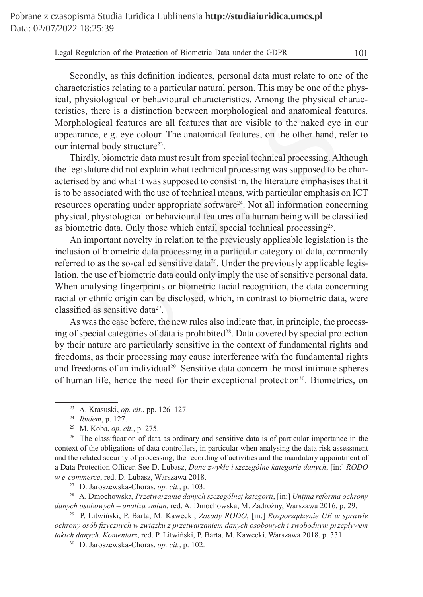Secondly, as this definition indicates, personal data must relate to one of the characteristics relating to a particular natural person. This may be one of the physical, physiological or behavioural characteristics. Among the physical characteristics, there is a distinction between morphological and anatomical features. Morphological features are all features that are visible to the naked eye in our appearance, e.g. eye colour. The anatomical features, on the other hand, refer to our internal body structure<sup>23</sup>.

Thirdly, biometric data must result from special technical processing. Although the legislature did not explain what technical processing was supposed to be characterised by and what it was supposed to consist in, the literature emphasises that it is to be associated with the use of technical means, with particular emphasis on ICT resources operating under appropriate software<sup>24</sup>. Not all information concerning physical, physiological or behavioural features of a human being will be classified as biometric data. Only those which entail special technical processing25. there is a distinction between morphological and anatomical fe<br>ogical features are all features that are visible to the naked eye<br>ce, e.g. eye colour. The anatomical features, on the other hand, r<br>nal body structure<sup>23</sup>.<br>

An important novelty in relation to the previously applicable legislation is the inclusion of biometric data processing in a particular category of data, commonly referred to as the so-called sensitive data<sup>26</sup>. Under the previously applicable legislation, the use of biometric data could only imply the use of sensitive personal data. When analysing fingerprints or biometric facial recognition, the data concerning racial or ethnic origin can be disclosed, which, in contrast to biometric data, were classified as sensitive data<sup>27</sup>.

As was the case before, the new rules also indicate that, in principle, the processing of special categories of data is prohibited<sup>28</sup>. Data covered by special protection by their nature are particularly sensitive in the context of fundamental rights and freedoms, as their processing may cause interference with the fundamental rights and freedoms of an individual<sup>29</sup>. Sensitive data concern the most intimate spheres of human life, hence the need for their exceptional protection $30$ . Biometrics, on

<sup>26</sup> The classification of data as ordinary and sensitive data is of particular importance in the context of the obligations of data controllers, in particular when analysing the data risk assessment and the related security of processing, the recording of activities and the mandatory appointment of a Data Protection Officer. See D. Lubasz, *Dane zwykłe i szczególne kategorie danych*, [in:] *RODO w e-commerce*, red. D. Lubasz, Warszawa 2018.

<sup>27</sup> D. Jaroszewska-Choraś, *op. cit.*, p. 103.

<sup>28</sup> A. Dmochowska, *Przetwarzanie danych szczególnej kategorii*, [in:] *Unijna reforma ochrony danych osobowych – analiza zmian*, red. A. Dmochowska, M. Zadrożny, Warszawa 2016, p. 29.

<sup>29</sup> P. Litwiński, P. Barta, M. Kawecki, *Zasady RODO*, [in:] *Rozporządzenie UE w sprawie ochrony osób fizycznych w związku z przetwarzaniem danych osobowych i swobodnym przepływem takich danych. Komentarz*, red. P. Litwiński, P. Barta, M. Kawecki, Warszawa 2018, p. 331.

<sup>30</sup> D. Jaroszewska-Choraś, *op. cit.*, p. 102.

<sup>23</sup> A. Krasuski, *op. cit.*, pp. 126–127.

<sup>24</sup> *Ibidem*, p. 127.

<sup>25</sup> M. Koba, *op. cit.*, p. 275.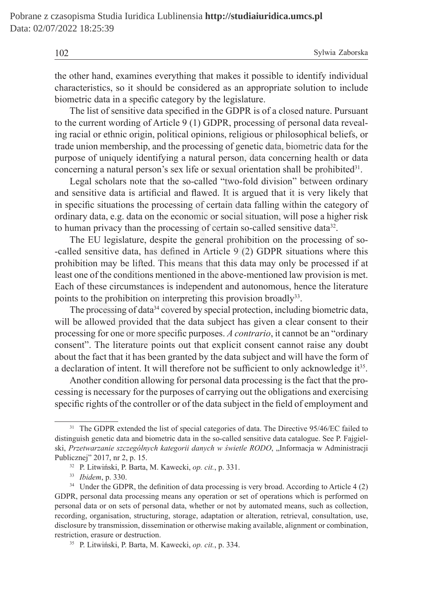102 Sylwia Zaborska

the other hand, examines everything that makes it possible to identify individual characteristics, so it should be considered as an appropriate solution to include biometric data in a specific category by the legislature.

The list of sensitive data specified in the GDPR is of a closed nature. Pursuant to the current wording of Article 9 (1) GDPR, processing of personal data revealing racial or ethnic origin, political opinions, religious or philosophical beliefs, or trade union membership, and the processing of genetic data, biometric data for the purpose of uniquely identifying a natural person, data concerning health or data concerning a natural person's sex life or sexual orientation shall be prohibited $31$ .

Legal scholars note that the so-called "two-fold division" between ordinary and sensitive data is artificial and flawed. It is argued that it is very likely that in specific situations the processing of certain data falling within the category of ordinary data, e.g. data on the economic or social situation, will pose a higher risk to human privacy than the processing of certain so-called sensitive data<sup>32</sup>.

The EU legislature, despite the general prohibition on the processing of so- -called sensitive data, has defined in Article 9 (2) GDPR situations where this prohibition may be lifted. This means that this data may only be processed if at least one of the conditions mentioned in the above-mentioned law provision is met. Each of these circumstances is independent and autonomous, hence the literature points to the prohibition on interpreting this provision broadly<sup>33</sup>. list of sensitive data specified in the GDPR is of a closed nature. Purent wording of Article 9 (1) GDPR, processing of personal data I or ethnic origin, political opinions, religious or philosophical beli on membership,

The processing of data<sup>34</sup> covered by special protection, including biometric data, will be allowed provided that the data subject has given a clear consent to their processing for one or more specific purposes. *A contrario*, it cannot be an "ordinary consent". The literature points out that explicit consent cannot raise any doubt about the fact that it has been granted by the data subject and will have the form of a declaration of intent. It will therefore not be sufficient to only acknowledge  $i<sup>35</sup>$ .

Another condition allowing for personal data processing is the fact that the processing is necessary for the purposes of carrying out the obligations and exercising specific rights of the controller or of the data subject in the field of employment and

<sup>&</sup>lt;sup>31</sup> The GDPR extended the list of special categories of data. The Directive 95/46/EC failed to distinguish genetic data and biometric data in the so-called sensitive data catalogue. See P. Fajgielski, *Przetwarzanie szczególnych kategorii danych w świetle RODO*, "Informacja w Administracji Publicznej" 2017, nr 2, p. 15.

<sup>32</sup> P. Litwiński, P. Barta, M. Kawecki, *op. cit.*, p. 331.

<sup>33</sup> *Ibidem*, p. 330.

<sup>&</sup>lt;sup>34</sup> Under the GDPR, the definition of data processing is very broad. According to Article 4 (2) GDPR, personal data processing means any operation or set of operations which is performed on personal data or on sets of personal data, whether or not by automated means, such as collection, recording, organisation, structuring, storage, adaptation or alteration, retrieval, consultation, use, disclosure by transmission, dissemination or otherwise making available, alignment or combination, restriction, erasure or destruction.

<sup>35</sup> P. Litwiński, P. Barta, M. Kawecki, *op. cit.*, p. 334.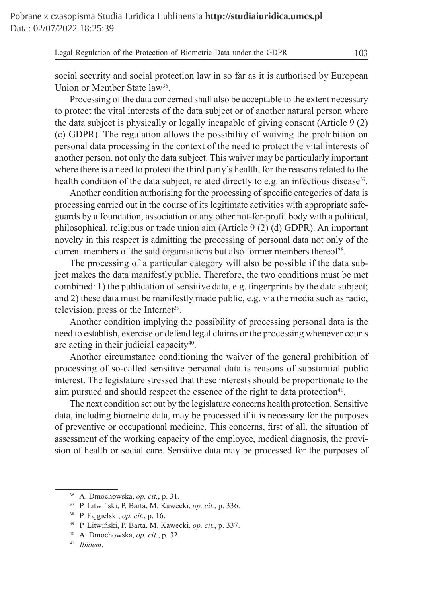social security and social protection law in so far as it is authorised by European Union or Member State law<sup>36</sup>.

Processing of the data concerned shall also be acceptable to the extent necessary to protect the vital interests of the data subject or of another natural person where the data subject is physically or legally incapable of giving consent (Article 9 (2) (c) GDPR). The regulation allows the possibility of waiving the prohibition on personal data processing in the context of the need to protect the vital interests of another person, not only the data subject. This waiver may be particularly important where there is a need to protect the third party's health, for the reasons related to the health condition of the data subject, related directly to e.g. an infectious disease<sup>37</sup>. is the vital interests of the data subject or of another natural person<br>subject is physically or legally incapable of giving consent (Articl<br>R). The regulation allows the possibility of waiving the prohibit<br>data processin

Another condition authorising for the processing of specific categories of data is processing carried out in the course of its legitimate activities with appropriate safeguards by a foundation, association or any other not-for-profit body with a political, philosophical, religious or trade union aim (Article 9 (2) (d) GDPR). An important novelty in this respect is admitting the processing of personal data not only of the current members of the said organisations but also former members thereof<sup>38</sup>.

The processing of a particular category will also be possible if the data subject makes the data manifestly public. Therefore, the two conditions must be met combined: 1) the publication of sensitive data, e.g. fingerprints by the data subject; and 2) these data must be manifestly made public, e.g. via the media such as radio, television, press or the Internet<sup>39</sup>.

Another condition implying the possibility of processing personal data is the need to establish, exercise or defend legal claims or the processing whenever courts are acting in their judicial capacity<sup>40</sup>.

Another circumstance conditioning the waiver of the general prohibition of processing of so-called sensitive personal data is reasons of substantial public interest. The legislature stressed that these interests should be proportionate to the aim pursued and should respect the essence of the right to data protection<sup>41</sup>.

The next condition set out by the legislature concerns health protection. Sensitive data, including biometric data, may be processed if it is necessary for the purposes of preventive or occupational medicine. This concerns, first of all, the situation of assessment of the working capacity of the employee, medical diagnosis, the provision of health or social care. Sensitive data may be processed for the purposes of

<sup>36</sup> A. Dmochowska, *op. cit.*, p. 31.

<sup>37</sup> P. Litwiński, P. Barta, M. Kawecki, *op. cit.*, p. 336.

<sup>38</sup> P. Fajgielski, *op. cit.*, p. 16.

<sup>39</sup> P. Litwiński, P. Barta, M. Kawecki, *op. cit.*, p. 337.

<sup>40</sup> A. Dmochowska, *op. cit.*, p. 32.

<sup>41</sup> *Ibidem*.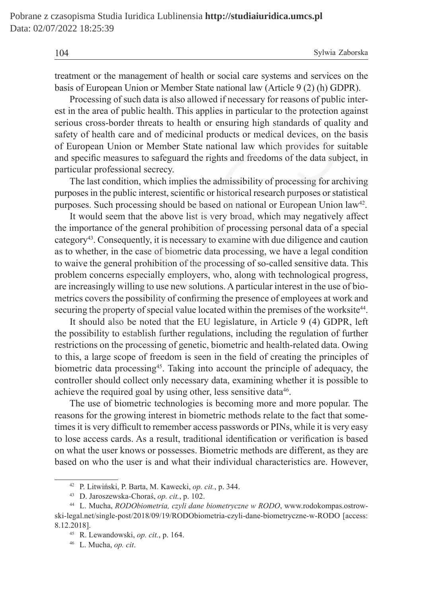| 104 | Sylwia Zaborska |
|-----|-----------------|
|     |                 |

treatment or the management of health or social care systems and services on the basis of European Union or Member State national law (Article 9 (2) (h) GDPR).

Processing of such data is also allowed if necessary for reasons of public interest in the area of public health. This applies in particular to the protection against serious cross-border threats to health or ensuring high standards of quality and safety of health care and of medicinal products or medical devices, on the basis of European Union or Member State national law which provides for suitable and specific measures to safeguard the rights and freedoms of the data subject, in particular professional secrecy.

The last condition, which implies the admissibility of processing for archiving purposes in the public interest, scientific or historical research purposes or statistical purposes. Such processing should be based on national or European Union law42.

It would seem that the above list is very broad, which may negatively affect the importance of the general prohibition of processing personal data of a special category43. Consequently, it is necessary to examine with due diligence and caution as to whether, in the case of biometric data processing, we have a legal condition to waive the general prohibition of the processing of so-called sensitive data. This problem concerns especially employers, who, along with technological progress, are increasingly willing to use new solutions. A particular interest in the use of biometrics covers the possibility of confirming the presence of employees at work and securing the property of special value located within the premises of the worksite<sup>44</sup>. e area of public health. This applies in particular to the protection across-border threats to health or ensuring high standards of qualif health care and of medicial products or medical devices, on the bean Union or Membe

It should also be noted that the EU legislature, in Article 9 (4) GDPR, left the possibility to establish further regulations, including the regulation of further restrictions on the processing of genetic, biometric and health-related data. Owing to this, a large scope of freedom is seen in the field of creating the principles of biometric data processing<sup>45</sup>. Taking into account the principle of adequacy, the controller should collect only necessary data, examining whether it is possible to achieve the required goal by using other, less sensitive data<sup>46</sup>.

The use of biometric technologies is becoming more and more popular. The reasons for the growing interest in biometric methods relate to the fact that sometimes it is very difficult to remember access passwords or PINs, while it is very easy to lose access cards. As a result, traditional identification or verification is based on what the user knows or possesses. Biometric methods are different, as they are based on who the user is and what their individual characteristics are. However,

<sup>42</sup> P. Litwiński, P. Barta, M. Kawecki, *op. cit.*, p. 344.

<sup>43</sup> D. Jaroszewska-Choraś, *op. cit.*, p. 102.

<sup>44</sup> L. Mucha, *RODObiometria, czyli dane biometryczne w RODO*, www.rodokompas.ostrowski-legal.net/single-post/2018/09/19/RODObiometria-czyli-dane-biometryczne-w-RODO [access: 8.12.2018].

<sup>45</sup> R. Lewandowski, *op. cit.*, p. 164.

<sup>46</sup> L. Mucha, *op. cit*.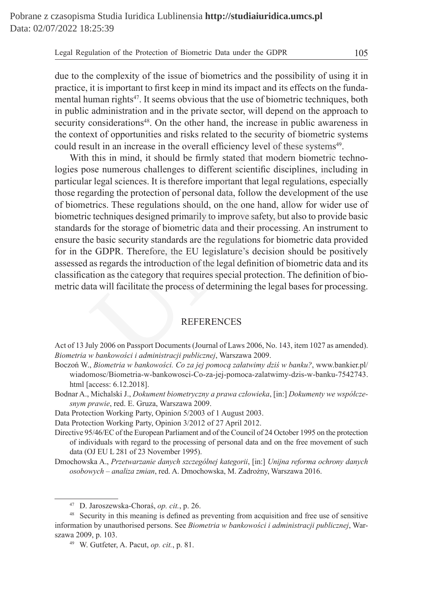due to the complexity of the issue of biometrics and the possibility of using it in practice, it is important to first keep in mind its impact and its effects on the fundamental human rights<sup>47</sup>. It seems obvious that the use of biometric techniques, both in public administration and in the private sector, will depend on the approach to security considerations<sup>48</sup>. On the other hand, the increase in public awareness in the context of opportunities and risks related to the security of biometric systems could result in an increase in the overall efficiency level of these systems<sup>49</sup>.

With this in mind, it should be firmly stated that modern biometric technologies pose numerous challenges to different scientific disciplines, including in particular legal sciences. It is therefore important that legal regulations, especially those regarding the protection of personal data, follow the development of the use of biometrics. These regulations should, on the one hand, allow for wider use of biometric techniques designed primarily to improve safety, but also to provide basic standards for the storage of biometric data and their processing. An instrument to ensure the basic security standards are the regulations for biometric data provided for in the GDPR. Therefore, the EU legislature's decision should be positively assessed as regards the introduction of the legal definition of biometric data and its classification as the category that requires special protection. The definition of biometric data will facilitate the process of determining the legal bases for processing. calministration and in the private sector, will depend on the approximidations<sup>48</sup>. On the other hand, the increase in public aware ext of opportunities and risks related to the security of biometric sysual in an increase

## **REFERENCES**

Act of 13 July 2006 on Passport Documents (Journal of Laws 2006, No. 143, item 1027 as amended). *Biometria w bankowości i administracji publicznej*, Warszawa 2009.

- Boczoń W., *Biometria w bankowości. Co za jej pomocą załatwimy dziś w banku?*, www.bankier.pl/ wiadomosc/Biometria-w-bankowosci-Co-za-jej-pomoca-zalatwimy-dzis-w-banku-7542743. html [access: 6.12.2018].
- Bodnar A., Michalski J., *Dokument biometryczny a prawa człowieka*, [in:] *Dokumenty we współczesnym prawie*, red. E. Gruza, Warszawa 2009.
- Data Protection Working Party, Opinion 5/2003 of 1 August 2003.
- Data Protection Working Party, Opinion 3/2012 of 27 April 2012.
- Directive 95/46/EC of the European Parliament and of the Council of 24 October 1995 on the protection of individuals with regard to the processing of personal data and on the free movement of such data (OJ EU L 281 of 23 November 1995).
- Dmochowska A., *Przetwarzanie danych szczególnej kategorii*, [in:] *Unijna reforma ochrony danych osobowych – analiza zmian*, red. A. Dmochowska, M. Zadrożny, Warszawa 2016.

<sup>47</sup> D. Jaroszewska-Choraś, *op. cit.*, p. 26.

<sup>48</sup> Security in this meaning is defined as preventing from acquisition and free use of sensitive information by unauthorised persons. See *Biometria w bankowości i administracji publicznej*, Warszawa 2009, p. 103.

<sup>49</sup> W. Gutfeter, A. Pacut, *op. cit.*, p. 81.